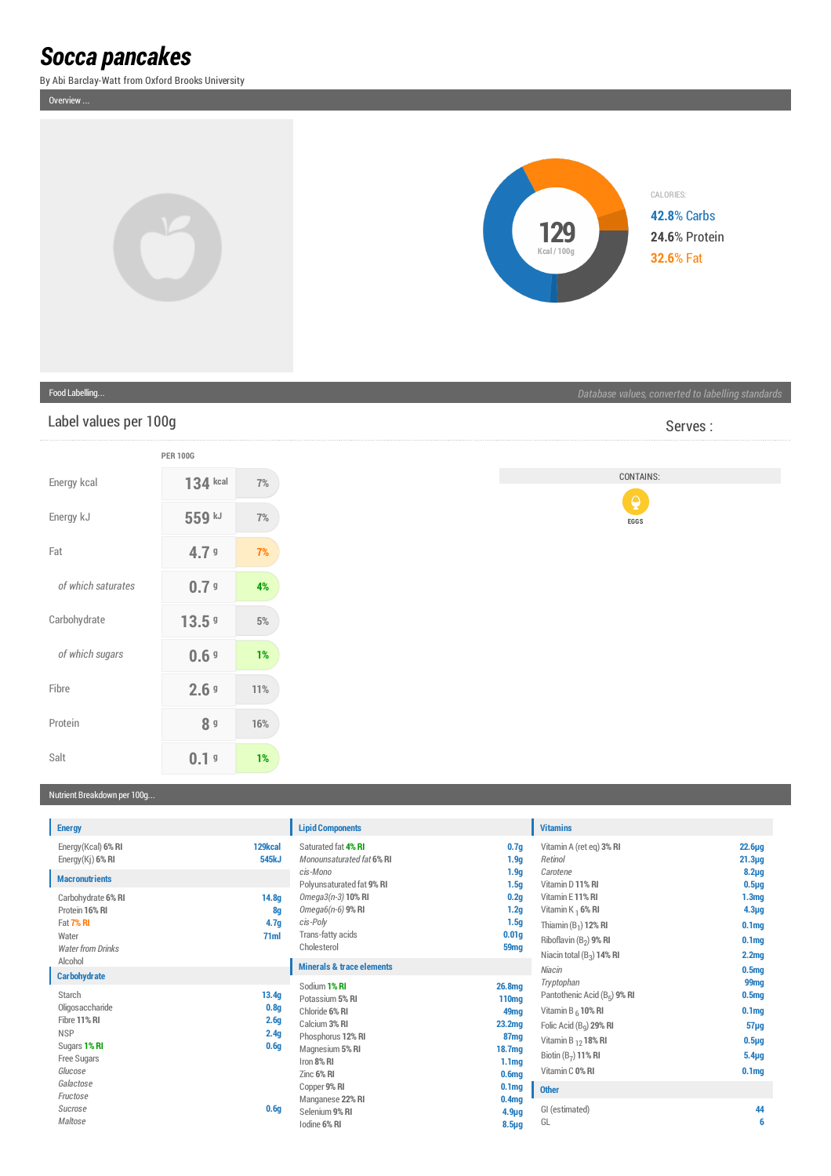# *Socca pancakes*

By Abi Barclay-Watt from Oxford Brooks University

Overview ...



### Food Labelling...

## Label values per 100g

|                    | <b>PER 100G</b> |     |
|--------------------|-----------------|-----|
| Energy kcal        | 134 kcal        | 7%  |
| Energy kJ          | 559 kJ          | 7%  |
| Fat                | 4.79            | 7%  |
| of which saturates | 0.79            | 4%  |
| Carbohydrate       | 13.59           | 5%  |
| of which sugars    | 0.69            | 1%  |
| Fibre              | 2.69            | 11% |
| Protein            | <b>8</b> g      | 16% |
| Salt               | g               | 1%  |

Serves :

# CONTAINS:



### Nutrient Breakdown per 100g...

| <b>Energy</b>                                                                                                   |                                                                           | <b>Lipid Components</b>                                                                                                          |                                                                                                                                     | <b>Vitamins</b>                                                                                                                                                                  |                                                                                                                         |
|-----------------------------------------------------------------------------------------------------------------|---------------------------------------------------------------------------|----------------------------------------------------------------------------------------------------------------------------------|-------------------------------------------------------------------------------------------------------------------------------------|----------------------------------------------------------------------------------------------------------------------------------------------------------------------------------|-------------------------------------------------------------------------------------------------------------------------|
| Energy (Kcal) 6% RI<br>Energy $(Ki)$ 6% RI                                                                      | 129kcal<br>545kJ                                                          | Saturated fat 4% RI<br>Monounsaturated fat 6% RI                                                                                 | 0.7 <sub>g</sub><br>1.9 <sub>g</sub>                                                                                                | Vitamin A (ret eq) 3% RI<br>Retinol                                                                                                                                              | $22.6\mug$<br>$21.3\mug$                                                                                                |
| <b>Macronutrients</b><br>Carbohydrate 6% RI<br>Protein 16% RI<br>Fat 7% RI<br>Water<br><b>Water from Drinks</b> | 14.8 <sub>g</sub><br>8g<br>4.7 <sub>g</sub><br>71ml                       | cis-Mono<br>Polyunsaturated fat 9% RI<br>Omega3(n-3) 10% RI<br>Omega6(n-6) 9% RI<br>cis-Poly<br>Trans-fatty acids<br>Cholesterol | 1.9 <sub>g</sub><br>1.5 <sub>g</sub><br>0.2 <sub>g</sub><br>1.2g<br>1.5 <sub>g</sub><br>0.01 <sub>g</sub><br>59 <sub>mg</sub>       | Carotene<br>Vitamin D 11% RI<br>Vitamin E11% RI<br>Vitamin K $_1$ 6% RI<br>Thiamin $(B_1)$ 12% RI<br>Riboflavin (B <sub>2</sub> ) 9% RI<br>Niacin total $(B_3)$ 14% RI           | $8.2\mug$<br>$0.5\mug$<br>1.3 <sub>mg</sub><br>$4.3\mug$<br>0.1 <sub>mg</sub><br>0.1 <sub>mg</sub><br>2.2 <sub>mg</sub> |
| Alcohol<br><b>Carbohydrate</b>                                                                                  |                                                                           | <b>Minerals &amp; trace elements</b><br>Sodium 1% RI                                                                             | 26.8mg                                                                                                                              | Niacin<br>Tryptophan                                                                                                                                                             | 0.5 <sub>mq</sub><br>99 <sub>mg</sub>                                                                                   |
| Starch<br>Oligosaccharide<br>Fibre 11% RI<br><b>NSP</b><br>Sugars 1% RI<br>Free Sugars<br>Glucose               | 13.4g<br>0.8 <sub>g</sub><br>2.6 <sub>g</sub><br>2.4g<br>0.6 <sub>g</sub> | Potassium 5% RI<br>Chloride 6% RI<br>Calcium 3% RI<br>Phosphorus 12% RI<br>Magnesium 5% RI<br>Iron 8% RI<br>Zinc 6% RI           | 110 <sub>mg</sub><br>49 <sub>mg</sub><br>23.2 <sub>mg</sub><br>87 <sub>mg</sub><br>18.7mg<br>1.1 <sub>mg</sub><br>0.6 <sub>mg</sub> | Pantothenic Acid (B <sub>5</sub> ) 9% RI<br>Vitamin B $_6$ 10% RI<br>Folic Acid (B <sub>a</sub> ) 29% RI<br>Vitamin B $_{12}$ 18% RI<br>Biotin $(B_7)$ 11% RI<br>Vitamin C 0% RI | 0.5 <sub>mg</sub><br>0.1 <sub>mg</sub><br>$57\mug$<br>$0.5\mug$<br>$5.4\mug$<br>0.1 <sub>mq</sub>                       |
| Galactose<br>Fructose<br>Sucrose<br>Maltose                                                                     | 0.6q                                                                      | Copper 9% RI<br>Manganese 22% RI<br>Selenium 9% RI<br>Iodine 6% RI                                                               | 0.1 <sub>mg</sub><br>0.4 <sub>mg</sub><br>$4.9\mug$<br>$8.5\mug$                                                                    | <b>Other</b><br>GI (estimated)<br>GL                                                                                                                                             | 44<br>6                                                                                                                 |